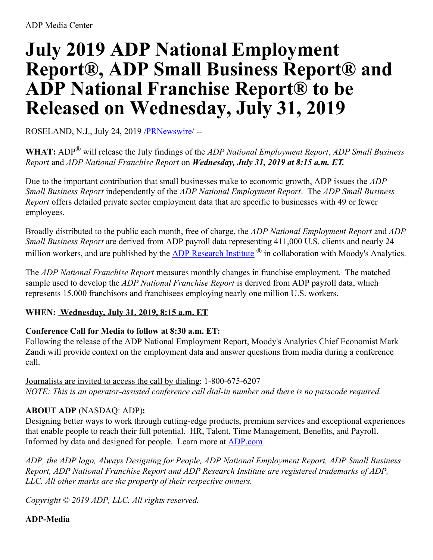# **July 2019 ADP National Employment Report®, ADP Small Business Report® and ADP National Franchise Report® to be Released on Wednesday, July 31, 2019**

ROSELAND, N.J., July 24, 2019 [/PRNewswire](http://www.prnewswire.com/)/ --

**WHAT:** ADP® will release the July findings of the *ADP National Employment Report*, *ADP Small Business Report* and *ADP National Franchise Report* on *Wednesday, July 31, 2019 at 8:15 a.m. ET.*

Due to the important contribution that small businesses make to economic growth, ADP issues the *ADP Small Business Report* independently of the *ADP National Employment Report*. The *ADP Small Business Report* offers detailed private sector employment data that are specific to businesses with 49 or fewer employees.

Broadly distributed to the public each month, free of charge, the *ADP National Employment Report* and *ADP Small Business Report* are derived from ADP payroll data representing 411,000 U.S. clients and nearly 24 million workers, and are published by the ADP [Research](https://c212.net/c/link/?t=0&l=en&o=2532754-1&h=575279732&u=http%3A%2F%2Fwww.adp.com%2Ftools-and-resources%2Fadp-research-institute.aspx&a=ADP+Research+Institute) Institute ® in collaboration with Moody's Analytics.

The *ADP National Franchise Report* measures monthly changes in franchise employment. The matched sample used to develop the *ADP National Franchise Report* is derived from ADP payroll data, which represents 15,000 franchisors and franchisees employing nearly one million U.S. workers.

## **WHEN: Wednesday, July 31, 2019, 8:15 a.m. ET**

## **Conference Call for Media to follow at 8:30 a.m. ET:**

Following the release of the ADP National Employment Report, Moody's Analytics Chief Economist Mark Zandi will provide context on the employment data and answer questions from media during a conference call.

Journalists are invited to access the call by dialing: 1-800-675-6207 *NOTE: This is an operator-assisted conference call dial-in number and there is no passcode required.*

## **ABOUT ADP** (NASDAQ: ADP)**:**

Designing better ways to work through cutting-edge products, premium services and exceptional experiences that enable people to reach their full potential. HR, Talent, Time Management, Benefits, and Payroll. Informed by data and designed for people. Learn more at [ADP.com](https://c212.net/c/link/?t=0&l=en&o=2532754-1&h=2879937978&u=http%3A%2F%2Fadp.com%2F&a=ADP.com)

*ADP, the ADP logo, Always Designing for People, ADP National Employment Report, ADP Small Business Report, ADP National Franchise Report and ADP Research Institute are registered trademarks of ADP, LLC. All other marks are the property of their respective owners.*

*Copyright © 2019 ADP, LLC. All rights reserved.*

### **ADP-Media**